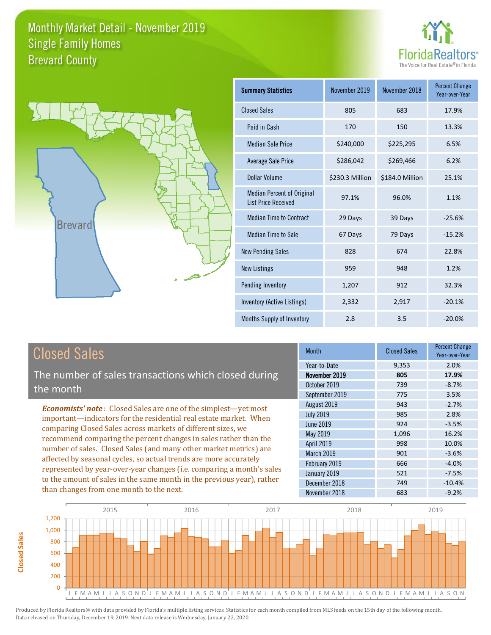



| <b>Summary Statistics</b>                                       | November 2019   | November 2018   | <b>Percent Change</b><br>Year-over-Year |
|-----------------------------------------------------------------|-----------------|-----------------|-----------------------------------------|
| <b>Closed Sales</b>                                             | 805             | 683             | 17.9%                                   |
| Paid in Cash                                                    | 170             | 150             | 13.3%                                   |
| <b>Median Sale Price</b>                                        | \$240,000       | \$225,295       | 6.5%                                    |
| Average Sale Price                                              | \$286,042       | \$269,466       | 6.2%                                    |
| Dollar Volume                                                   | \$230.3 Million | \$184.0 Million | 25.1%                                   |
| <b>Median Percent of Original</b><br><b>List Price Received</b> | 97.1%           | 96.0%           | 1.1%                                    |
| <b>Median Time to Contract</b>                                  | 29 Days         | 39 Days         | $-25.6%$                                |
| <b>Median Time to Sale</b>                                      | 67 Days         | 79 Days         | $-15.2%$                                |
| <b>New Pending Sales</b>                                        | 828             | 674             | 22.8%                                   |
| <b>New Listings</b>                                             | 959             | 948             | 1.2%                                    |
| Pending Inventory                                               | 1,207           | 912             | 32.3%                                   |
| Inventory (Active Listings)                                     | 2,332           | 2,917           | $-20.1%$                                |
| Months Supply of Inventory                                      | 2.8             | 3.5             | $-20.0%$                                |

The number of sales transactions which closed during the month

*Economists' note* : Closed Sales are one of the simplest—yet most important—indicators for the residential real estate market. When comparing Closed Sales across markets of different sizes, we recommend comparing the percent changes in sales rather than the number of sales. Closed Sales (and many other market metrics) are affected by seasonal cycles, so actual trends are more accurately represented by year-over-year changes (i.e. comparing a month's sales to the amount of sales in the same month in the previous year), rather than changes from one month to the next.

| <b>Month</b>     | <b>Closed Sales</b> | <b>Percent Change</b><br>Year-over-Year |
|------------------|---------------------|-----------------------------------------|
| Year-to-Date     | 9,353               | 2.0%                                    |
| November 2019    | 805                 | 17.9%                                   |
| October 2019     | 739                 | $-8.7%$                                 |
| September 2019   | 775                 | 3.5%                                    |
| August 2019      | 943                 | $-2.7%$                                 |
| <b>July 2019</b> | 985                 | 2.8%                                    |
| <b>June 2019</b> | 924                 | $-3.5%$                                 |
| May 2019         | 1,096               | 16.2%                                   |
| April 2019       | 998                 | 10.0%                                   |
| March 2019       | 901                 | $-3.6%$                                 |
| February 2019    | 666                 | $-4.0%$                                 |
| January 2019     | 521                 | $-7.5%$                                 |
| December 2018    | 749                 | $-10.4%$                                |
| November 2018    | 683                 | $-9.2%$                                 |

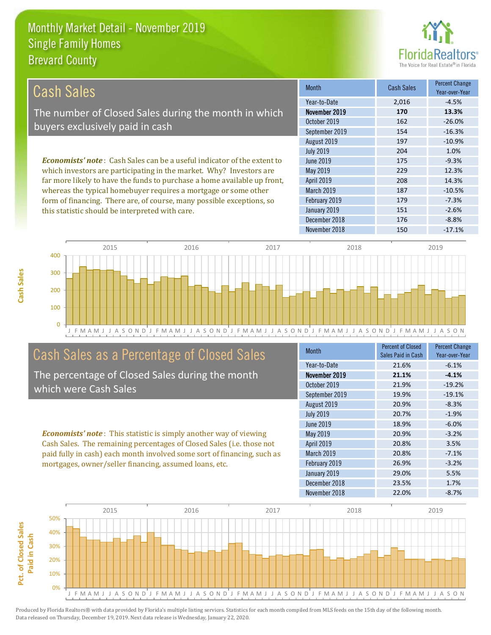this statistic should be interpreted with care.



151 -2.6%

| Cash Sales                                                                     | <b>Month</b>      | <b>Cash Sales</b> | <b>Percent Change</b><br>Year-over-Year |
|--------------------------------------------------------------------------------|-------------------|-------------------|-----------------------------------------|
|                                                                                | Year-to-Date      | 2.016             | $-4.5%$                                 |
| The number of Closed Sales during the month in which                           | November 2019     | 170               | 13.3%                                   |
| buyers exclusively paid in cash                                                | October 2019      | 162               | $-26.0%$                                |
|                                                                                | September 2019    | 154               | $-16.3%$                                |
|                                                                                | August 2019       | 197               | $-10.9%$                                |
|                                                                                | <b>July 2019</b>  | 204               | 1.0%                                    |
| <b>Economists' note:</b> Cash Sales can be a useful indicator of the extent to | June 2019         | 175               | $-9.3%$                                 |
| which investors are participating in the market. Why? Investors are            | May 2019          | 229               | 12.3%                                   |
| far more likely to have the funds to purchase a home available up front,       | <b>April 2019</b> | 208               | 14.3%                                   |
| whereas the typical homebuyer requires a mortgage or some other                | <b>March 2019</b> | 187               | $-10.5%$                                |
| form of financing. There are, of course, many possible exceptions, so          | February 2019     | 179               | $-7.3%$                                 |



# Cash Sales as a Percentage of Closed Sales

The percentage of Closed Sales during the month which were Cash Sales

*Economists' note* : This statistic is simply another way of viewing Cash Sales. The remaining percentages of Closed Sales (i.e. those not paid fully in cash) each month involved some sort of financing, such as mortgages, owner/seller financing, assumed loans, etc.

| Month            | Percent of Closed<br>Sales Paid in Cash | <b>Percent Change</b><br>Year-over-Year |
|------------------|-----------------------------------------|-----------------------------------------|
| Year-to-Date     | 21.6%                                   | $-6.1%$                                 |
| November 2019    | 21.1%                                   | $-4.1%$                                 |
| October 2019     | 21.9%                                   | $-19.2%$                                |
| September 2019   | 19.9%                                   | $-19.1%$                                |
| August 2019      | 20.9%                                   | $-8.3%$                                 |
| <b>July 2019</b> | 20.7%                                   | $-1.9%$                                 |
| June 2019        | 18.9%                                   | $-6.0%$                                 |
| May 2019         | 20.9%                                   | $-3.2%$                                 |
| April 2019       | 20.8%                                   | 3.5%                                    |
| March 2019       | 20.8%                                   | $-7.1%$                                 |
| February 2019    | 26.9%                                   | $-3.2%$                                 |
| January 2019     | 29.0%                                   | 5.5%                                    |
| December 2018    | 23.5%                                   | 1.7%                                    |
| November 2018    | 22.0%                                   | $-8.7%$                                 |

December 2018 176 176 -8.8%

January 2019

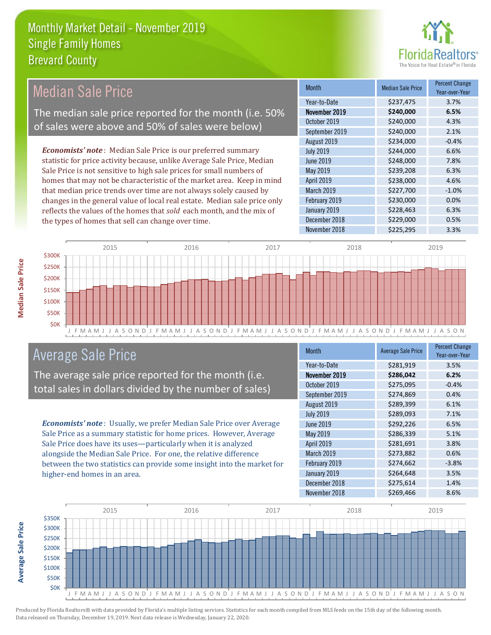

#### *Economists' note* : Median Sale Price is our preferred summary statistic for price activity because, unlike Average Sale Price, Median Sale Price is not sensitive to high sale prices for small numbers of homes that may not be characteristic of the market area. Keep in mind that median price trends over time are not always solely caused by changes in the general value of local real estate. Median sale price only reflects the values of the homes that *sold* each month, and the mix of the types of homes that sell can change over time. November 2018 **\$225,295** 3.3% January 2019 **\$228,463** 6.3% December 2018 **\$229,000** 0.5% March 2019 \$227,700 -1.0% February 2019 **\$230,000** \$230,000 0.0% \$234,000 -0.4% July 2019 **\$244,000 6.6%** April 2019 **\$238,000** \$238,000 4.6% October 2019 **\$240,000** \$240,000 4.3% September 2019 \$240,000 2.1% June 2019 **\$248,000** \$248,000 7.8% May 2019 **\$239,208** 6.3% August 2019 Month Median Sale Price Percent Change Year-over-Year November 2019 **\$240,000 6.5%** Year-to-Date \$237,475 3.7% Median Sale Price The median sale price reported for the month (i.e. 50% of sales were above and 50% of sales were below)



# Average Sale Price

The average sale price reported for the month (i.e. total sales in dollars divided by the number of sales)

*Economists' note* : Usually, we prefer Median Sale Price over Average Sale Price as a summary statistic for home prices. However, Average Sale Price does have its uses—particularly when it is analyzed alongside the Median Sale Price. For one, the relative difference between the two statistics can provide some insight into the market for higher-end homes in an area.

| <b>Month</b>     | <b>Average Sale Price</b> | <b>Percent Change</b><br>Year-over-Year |
|------------------|---------------------------|-----------------------------------------|
| Year-to-Date     | \$281,919                 | 3.5%                                    |
| November 2019    | \$286,042                 | 6.2%                                    |
| October 2019     | \$275,095                 | $-0.4%$                                 |
| September 2019   | \$274,869                 | 0.4%                                    |
| August 2019      | \$289,399                 | 6.1%                                    |
| <b>July 2019</b> | \$289,093                 | 7.1%                                    |
| <b>June 2019</b> | \$292,226                 | 6.5%                                    |
| May 2019         | \$286,339                 | 5.1%                                    |
| April 2019       | \$281,691                 | 3.8%                                    |
| March 2019       | \$273,882                 | 0.6%                                    |
| February 2019    | \$274,662                 | $-3.8%$                                 |
| January 2019     | \$264,648                 | 3.5%                                    |
| December 2018    | \$275,614                 | 1.4%                                    |
| November 2018    | \$269,466                 | 8.6%                                    |



**Average Sale Price**

**Average Sale Price**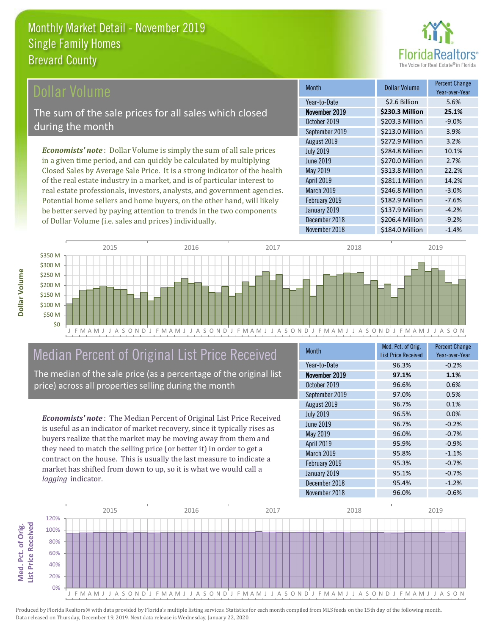

## ollar Volume

The sum of the sale prices for all sales which closed during the month

*Economists' note* : Dollar Volume is simply the sum of all sale prices in a given time period, and can quickly be calculated by multiplying Closed Sales by Average Sale Price. It is a strong indicator of the health of the real estate industry in a market, and is of particular interest to real estate professionals, investors, analysts, and government agencies. Potential home sellers and home buyers, on the other hand, will likely be better served by paying attention to trends in the two components of Dollar Volume (i.e. sales and prices) individually.

| <b>Month</b>     | <b>Dollar Volume</b> | <b>Percent Change</b><br>Year-over-Year |
|------------------|----------------------|-----------------------------------------|
| Year-to-Date     | \$2.6 Billion        | 5.6%                                    |
| November 2019    | \$230.3 Million      | 25.1%                                   |
| October 2019     | \$203.3 Million      | $-9.0%$                                 |
| September 2019   | \$213.0 Million      | 3.9%                                    |
| August 2019      | \$272.9 Million      | 3.2%                                    |
| <b>July 2019</b> | \$284.8 Million      | 10.1%                                   |
| <b>June 2019</b> | \$270.0 Million      | 2.7%                                    |
| May 2019         | \$313.8 Million      | 22.2%                                   |
| April 2019       | \$281.1 Million      | 14.2%                                   |
| March 2019       | \$246.8 Million      | $-3.0%$                                 |
| February 2019    | \$182.9 Million      | $-7.6%$                                 |
| January 2019     | \$137.9 Million      | $-4.2%$                                 |
| December 2018    | \$206.4 Million      | $-9.2%$                                 |
| November 2018    | \$184.0 Million      | $-1.4%$                                 |



# Median Percent of Original List Price Received

The median of the sale price (as a percentage of the original list price) across all properties selling during the month

*Economists' note* : The Median Percent of Original List Price Received is useful as an indicator of market recovery, since it typically rises as buyers realize that the market may be moving away from them and they need to match the selling price (or better it) in order to get a contract on the house. This is usually the last measure to indicate a market has shifted from down to up, so it is what we would call a *lagging* indicator.

| <b>Month</b>     | Med. Pct. of Orig.<br><b>List Price Received</b> | <b>Percent Change</b><br>Year-over-Year |
|------------------|--------------------------------------------------|-----------------------------------------|
| Year-to-Date     | 96.3%                                            | $-0.2%$                                 |
| November 2019    | 97.1%                                            | 1.1%                                    |
| October 2019     | 96.6%                                            | 0.6%                                    |
| September 2019   | 97.0%                                            | 0.5%                                    |
| August 2019      | 96.7%                                            | 0.1%                                    |
| <b>July 2019</b> | 96.5%                                            | 0.0%                                    |
| June 2019        | 96.7%                                            | $-0.2%$                                 |
| <b>May 2019</b>  | 96.0%                                            | $-0.7%$                                 |
| April 2019       | 95.9%                                            | $-0.9%$                                 |
| March 2019       | 95.8%                                            | $-1.1%$                                 |
| February 2019    | 95.3%                                            | $-0.7%$                                 |
| January 2019     | 95.1%                                            | $-0.7%$                                 |
| December 2018    | 95.4%                                            | $-1.2%$                                 |
| November 2018    | 96.0%                                            | $-0.6%$                                 |

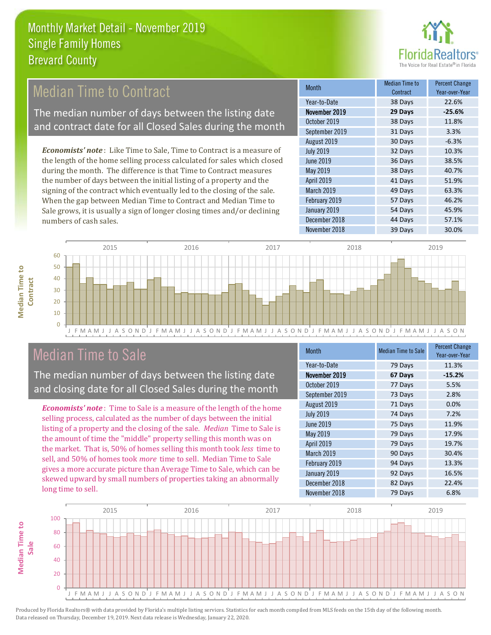

# Median Time to Contract

The median number of days between the listing date and contract date for all Closed Sales during the month

*Economists' note* : Like Time to Sale, Time to Contract is a measure of the length of the home selling process calculated for sales which closed during the month. The difference is that Time to Contract measures the number of days between the initial listing of a property and the signing of the contract which eventually led to the closing of the sale. When the gap between Median Time to Contract and Median Time to Sale grows, it is usually a sign of longer closing times and/or declining numbers of cash sales.

| <b>Month</b>     | Median Time to<br>Contract | <b>Percent Change</b><br>Year-over-Year |
|------------------|----------------------------|-----------------------------------------|
| Year-to-Date     | 38 Days                    | 22.6%                                   |
| November 2019    | 29 Days                    | $-25.6%$                                |
| October 2019     | 38 Days                    | 11.8%                                   |
| September 2019   | 31 Days                    | 3.3%                                    |
| August 2019      | 30 Days                    | $-6.3%$                                 |
| <b>July 2019</b> | 32 Days                    | 10.3%                                   |
| <b>June 2019</b> | 36 Days                    | 38.5%                                   |
| May 2019         | 38 Days                    | 40.7%                                   |
| April 2019       | 41 Days                    | 51.9%                                   |
| March 2019       | 49 Days                    | 63.3%                                   |
| February 2019    | 57 Days                    | 46.2%                                   |
| January 2019     | 54 Days                    | 45.9%                                   |
| December 2018    | 44 Days                    | 57.1%                                   |
| November 2018    | 39 Days                    | 30.0%                                   |



# Median Time to Sale

**Median Time to** 

**Median Time to** 

The median number of days between the listing date and closing date for all Closed Sales during the month

*Economists' note* : Time to Sale is a measure of the length of the home selling process, calculated as the number of days between the initial listing of a property and the closing of the sale. *Median* Time to Sale is the amount of time the "middle" property selling this month was on the market. That is, 50% of homes selling this month took *less* time to sell, and 50% of homes took *more* time to sell. Median Time to Sale gives a more accurate picture than Average Time to Sale, which can be skewed upward by small numbers of properties taking an abnormally long time to sell.

| <b>Month</b>     | <b>Median Time to Sale</b> | <b>Percent Change</b><br>Year-over-Year |
|------------------|----------------------------|-----------------------------------------|
| Year-to-Date     | 79 Days                    | 11.3%                                   |
| November 2019    | 67 Days                    | $-15.2%$                                |
| October 2019     | 77 Days                    | 5.5%                                    |
| September 2019   | 73 Days                    | 2.8%                                    |
| August 2019      | 71 Days                    | 0.0%                                    |
| <b>July 2019</b> | 74 Days                    | 7.2%                                    |
| June 2019        | 75 Days                    | 11.9%                                   |
| May 2019         | 79 Days                    | 17.9%                                   |
| April 2019       | 79 Days                    | 19.7%                                   |
| March 2019       | 90 Days                    | 30.4%                                   |
| February 2019    | 94 Days                    | 13.3%                                   |
| January 2019     | 92 Days                    | 16.5%                                   |
| December 2018    | 82 Days                    | 22.4%                                   |
| November 2018    | 79 Days                    | 6.8%                                    |

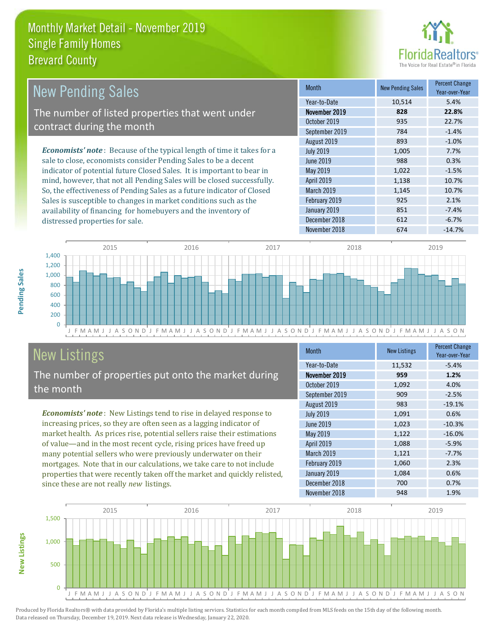

| <b>New Pending Sales</b>                                                      | <b>Month</b>      | <b>New Pending Sales</b> | <b>Percent Change</b><br>Year-over-Year |
|-------------------------------------------------------------------------------|-------------------|--------------------------|-----------------------------------------|
|                                                                               | Year-to-Date      | 10,514                   | 5.4%                                    |
| The number of listed properties that went under                               | November 2019     | 828                      | 22.8%                                   |
| contract during the month                                                     | October 2019      | 935                      | 22.7%                                   |
|                                                                               | September 2019    | 784                      | $-1.4%$                                 |
|                                                                               | August 2019       | 893                      | $-1.0%$                                 |
| <b>Economists' note:</b> Because of the typical length of time it takes for a | <b>July 2019</b>  | 1,005                    | 7.7%                                    |
| sale to close, economists consider Pending Sales to be a decent               | June 2019         | 988                      | 0.3%                                    |
| indicator of potential future Closed Sales. It is important to bear in        | May 2019          | 1,022                    | $-1.5%$                                 |
| mind, however, that not all Pending Sales will be closed successfully.        | <b>April 2019</b> | 1,138                    | 10.7%                                   |
| So, the effectiveness of Pending Sales as a future indicator of Closed        | March 2019        | 1,145                    | 10.7%                                   |
| Sales is susceptible to changes in market conditions such as the              | February 2019     | 925                      | 2.1%                                    |
| availability of financing for homebuyers and the inventory of                 | January 2019      | 851                      | $-7.4%$                                 |



# New Listings

distressed properties for sale.

The number of properties put onto the market during the month

*Economists' note* : New Listings tend to rise in delayed response to increasing prices, so they are often seen as a lagging indicator of market health. As prices rise, potential sellers raise their estimations of value—and in the most recent cycle, rising prices have freed up many potential sellers who were previously underwater on their mortgages. Note that in our calculations, we take care to not include properties that were recently taken off the market and quickly relisted, since these are not really *new* listings.

| <b>Month</b>     | <b>New Listings</b> | <b>Percent Change</b><br>Year-over-Year |
|------------------|---------------------|-----------------------------------------|
| Year-to-Date     | 11,532              | $-5.4%$                                 |
| November 2019    | 959                 | 1.2%                                    |
| October 2019     | 1,092               | 4.0%                                    |
| September 2019   | 909                 | $-2.5%$                                 |
| August 2019      | 983                 | $-19.1%$                                |
| <b>July 2019</b> | 1,091               | 0.6%                                    |
| June 2019        | 1,023               | $-10.3%$                                |
| May 2019         | 1,122               | $-16.0%$                                |
| April 2019       | 1,088               | $-5.9%$                                 |
| March 2019       | 1,121               | $-7.7%$                                 |
| February 2019    | 1,060               | 2.3%                                    |
| January 2019     | 1,084               | 0.6%                                    |
| December 2018    | 700                 | 0.7%                                    |
| November 2018    | 948                 | 1.9%                                    |

December 2018 612 612 -6.7%



**New Listings**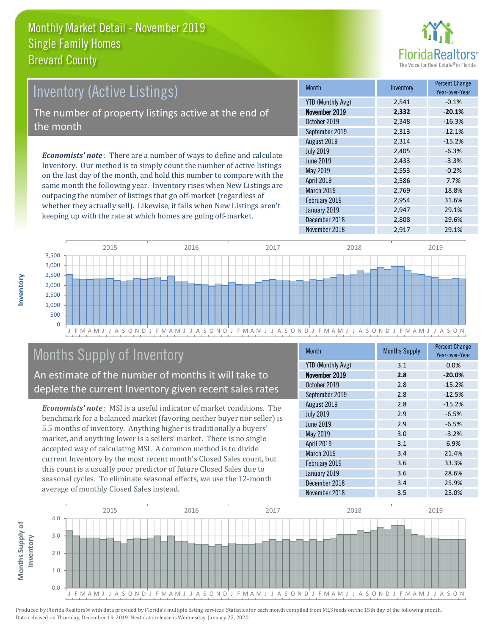

# *Economists' note* : There are a number of ways to define and calculate Inventory (Active Listings) The number of property listings active at the end of the month

Inventory. Our method is to simply count the number of active listings on the last day of the month, and hold this number to compare with the same month the following year. Inventory rises when New Listings are outpacing the number of listings that go off-market (regardless of whether they actually sell). Likewise, it falls when New Listings aren't keeping up with the rate at which homes are going off-market.

| <b>Month</b>             | Inventory | <b>Percent Change</b><br>Year-over-Year |
|--------------------------|-----------|-----------------------------------------|
| <b>YTD (Monthly Avg)</b> | 2,541     | $-0.1%$                                 |
| November 2019            | 2,332     | $-20.1%$                                |
| October 2019             | 2,348     | $-16.3%$                                |
| September 2019           | 2,313     | $-12.1%$                                |
| August 2019              | 2,314     | $-15.2%$                                |
| <b>July 2019</b>         | 2,405     | $-6.3%$                                 |
| June 2019                | 2,433     | $-3.3%$                                 |
| May 2019                 | 2,553     | $-0.2%$                                 |
| April 2019               | 2,586     | 7.7%                                    |
| March 2019               | 2,769     | 18.8%                                   |
| February 2019            | 2,954     | 31.6%                                   |
| January 2019             | 2,947     | 29.1%                                   |
| December 2018            | 2,808     | 29.6%                                   |
| November 2018            | 2,917     | 29.1%                                   |



# Months Supply of Inventory

#### An estimate of the number of months it will take to deplete the current Inventory given recent sales rates

*Economists' note* : MSI is a useful indicator of market conditions. The benchmark for a balanced market (favoring neither buyer nor seller) is 5.5 months of inventory. Anything higher is traditionally a buyers' market, and anything lower is a sellers' market. There is no single accepted way of calculating MSI. A common method is to divide current Inventory by the most recent month's Closed Sales count, but this count is a usually poor predictor of future Closed Sales due to seasonal cycles. To eliminate seasonal effects, we use the 12-month average of monthly Closed Sales instead.

| <b>Month</b>      | <b>Months Supply</b> | <b>Percent Change</b><br>Year-over-Year |
|-------------------|----------------------|-----------------------------------------|
| YTD (Monthly Avg) | 3.1                  | 0.0%                                    |
| November 2019     | 2.8                  | $-20.0%$                                |
| October 2019      | 2.8                  | $-15.2%$                                |
| September 2019    | 2.8                  | $-12.5%$                                |
| August 2019       | 2.8                  | $-15.2%$                                |
| <b>July 2019</b>  | 2.9                  | $-6.5%$                                 |
| <b>June 2019</b>  | 2.9                  | $-6.5%$                                 |
| May 2019          | 3.0                  | $-3.2%$                                 |
| April 2019        | 3.1                  | 6.9%                                    |
| March 2019        | 3.4                  | 21.4%                                   |
| February 2019     | 3.6                  | 33.3%                                   |
| January 2019      | 3.6                  | 28.6%                                   |
| December 2018     | 3.4                  | 25.9%                                   |
| November 2018     | 3.5                  | 25.0%                                   |

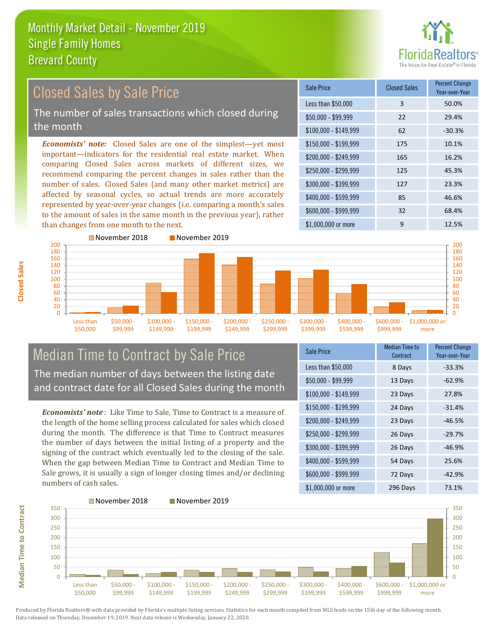

#### $$100,000 - $149,999$  62 -30.3% Sale Price Closed Sales Percent Change Year-over-Year Less than \$50,000 3 50.0%  $$50,000 - $99,999$  22 29.4% \$150,000 - \$199,999 175 10.1% \$200,000 - \$249,999 165 16.2% \$400,000 - \$599,999 85 46.6% \$600,000 - \$999,999 32 68.4% *Economists' note:* Closed Sales are one of the simplest—yet most important—indicators for the residential real estate market. When comparing Closed Sales across markets of different sizes, we recommend comparing the percent changes in sales rather than the number of sales. Closed Sales (and many other market metrics) are affected by seasonal cycles, so actual trends are more accurately represented by year-over-year changes (i.e. comparing a month's sales to the amount of sales in the same month in the previous year), rather than changes from one month to the next. \$1,000,000 or more 9 12.5% \$250,000 - \$299,999 125 45.3% \$300,000 - \$399,999 127 23.3% November 2018 November 2019 Closed Sales by Sale Price The number of sales transactions which closed during the month



## Median Time to Contract by Sale Price The median number of days between the listing date and contract date for all Closed Sales during the month

*Economists' note* : Like Time to Sale, Time to Contract is a measure of the length of the home selling process calculated for sales which closed during the month. The difference is that Time to Contract measures the number of days between the initial listing of a property and the signing of the contract which eventually led to the closing of the sale. When the gap between Median Time to Contract and Median Time to Sale grows, it is usually a sign of longer closing times and/or declining numbers of cash sales.

| Sale Price            | Median Time to<br>Contract | <b>Percent Change</b><br>Year-over-Year |
|-----------------------|----------------------------|-----------------------------------------|
| Less than \$50,000    | 8 Days                     | $-33.3%$                                |
| \$50,000 - \$99,999   | 13 Days                    | $-62.9%$                                |
| $$100,000 - $149,999$ | 23 Days                    | 27.8%                                   |
| $$150,000 - $199,999$ | 24 Days                    | $-31.4%$                                |
| \$200,000 - \$249,999 | 23 Days                    | $-46.5%$                                |
| \$250,000 - \$299,999 | 26 Days                    | $-29.7%$                                |
| \$300,000 - \$399,999 | 26 Days                    | $-46.9%$                                |
| \$400,000 - \$599,999 | 54 Days                    | 25.6%                                   |
| \$600,000 - \$999,999 | 72 Days                    | $-42.9%$                                |
| \$1,000,000 or more   | 296 Days                   | 73.1%                                   |

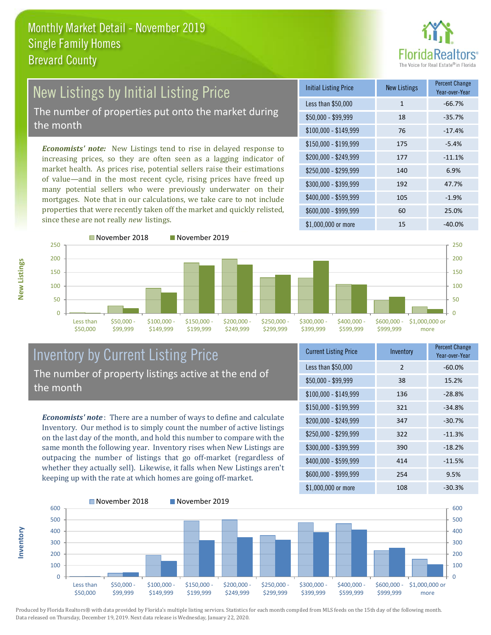

# New Listings by Initial Listing Price The number of properties put onto the market during

the month

*Economists' note:* New Listings tend to rise in delayed response to increasing prices, so they are often seen as a lagging indicator of market health. As prices rise, potential sellers raise their estimations of value—and in the most recent cycle, rising prices have freed up many potential sellers who were previously underwater on their mortgages. Note that in our calculations, we take care to not include properties that were recently taken off the market and quickly relisted, since these are not really *new* listings.

| <b>Initial Listing Price</b> | <b>New Listings</b> | <b>Percent Change</b><br>Year-over-Year |
|------------------------------|---------------------|-----------------------------------------|
| Less than \$50,000           | 1                   | $-66.7%$                                |
| $$50,000 - $99,999$          | 18                  | $-35.7%$                                |
| $$100,000 - $149,999$        | 76                  | $-17.4%$                                |
| $$150,000 - $199,999$        | 175                 | $-5.4%$                                 |
| \$200,000 - \$249,999        | 177                 | $-11.1%$                                |
| \$250,000 - \$299,999        | 140                 | 6.9%                                    |
| \$300,000 - \$399,999        | 192                 | 47.7%                                   |
| \$400,000 - \$599,999        | 105                 | $-1.9%$                                 |
| \$600,000 - \$999,999        | 60                  | 25.0%                                   |
| $$1,000,000$ or more         | 15                  | $-40.0\%$                               |





Inventory by Current Listing Price The number of property listings active at the end of the month

*Economists' note* : There are a number of ways to define and calculate Inventory. Our method is to simply count the number of active listings on the last day of the month, and hold this number to compare with the same month the following year. Inventory rises when New Listings are outpacing the number of listings that go off-market (regardless of whether they actually sell). Likewise, it falls when New Listings aren't keeping up with the rate at which homes are going off-market.

| <b>Current Listing Price</b> | Inventory     | <b>Percent Change</b><br>Year-over-Year |
|------------------------------|---------------|-----------------------------------------|
| Less than \$50,000           | $\mathcal{P}$ | $-60.0%$                                |
| $$50,000 - $99,999$          | 38            | 15.2%                                   |
| $$100,000 - $149,999$        | 136           | $-28.8%$                                |
| $$150,000 - $199,999$        | 321           | $-34.8%$                                |
| \$200,000 - \$249,999        | 347           | $-30.7%$                                |
| \$250,000 - \$299,999        | 322           | $-11.3%$                                |
| \$300,000 - \$399,999        | 390           | $-18.2%$                                |
| $$400,000 - $599,999$        | 414           | $-11.5%$                                |
| \$600,000 - \$999,999        | 254           | 9.5%                                    |
| \$1,000,000 or more          | 108           | $-30.3%$                                |

\$1,000,000 or more



Produced by Florida Realtors® with data provided by Florida's multiple listing services. Statistics for each month compiled from MLS feeds on the 15th day of the following month. Data released on Thursday, December 19, 2019. Next data release is Wednesday, January 22, 2020.

**Inventory**